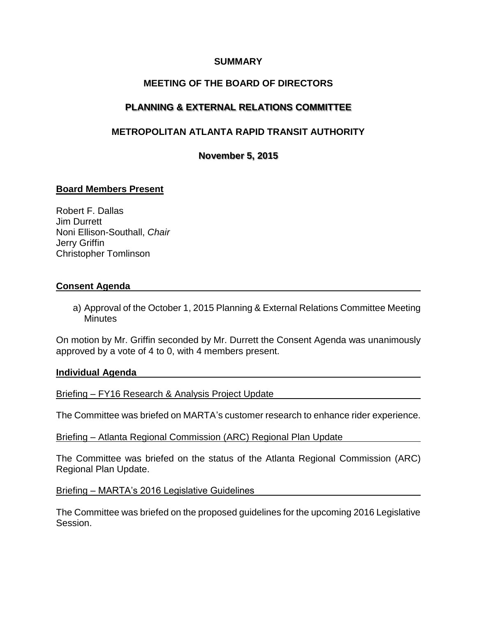## **SUMMARY**

## **MEETING OF THE BOARD OF DIRECTORS**

## **PLANNING & EXTERNAL RELATIONS COMMITTEE**

# **METROPOLITAN ATLANTA RAPID TRANSIT AUTHORITY**

**November 5, 2015**

### **Board Members Present**

Robert F. Dallas Jim Durrett Noni Ellison-Southall, *Chair* Jerry Griffin Christopher Tomlinson

#### **Consent Agenda**

a) Approval of the October 1, 2015 Planning & External Relations Committee Meeting **Minutes** 

On motion by Mr. Griffin seconded by Mr. Durrett the Consent Agenda was unanimously approved by a vote of 4 to 0, with 4 members present.

#### **Individual Agenda**

Briefing – FY16 Research & Analysis Project Update

The Committee was briefed on MARTA's customer research to enhance rider experience.

Briefing – Atlanta Regional Commission (ARC) Regional Plan Update

The Committee was briefed on the status of the Atlanta Regional Commission (ARC) Regional Plan Update.

Briefing – MARTA's 2016 Legislative Guidelines

The Committee was briefed on the proposed guidelines for the upcoming 2016 Legislative Session.